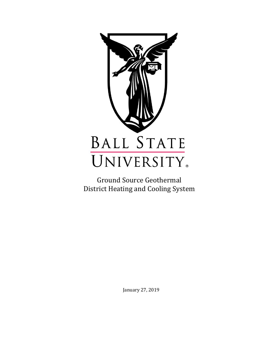

Ground Source Geothermal District Heating and Cooling System

January 27, 2019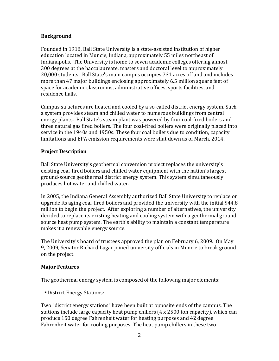### **Background**

Founded in 1918, Ball State University is a state-assisted institution of higher education located in Muncie, Indiana, approximately 55 miles northeast of Indianapolis. The University is home to seven academic colleges offering almost 300 degrees at the baccalaureate, masters and doctoral level to approximately 20,000 students. Ball State's main campus occupies 731 acres of land and includes more than 47 major buildings enclosing approximately 6.5 million square feet of space for academic classrooms, administrative offices, sports facilities, and residence halls.

Campus structures are heated and cooled by a so-called district energy system. Such a system provides steam and chilled water to numerous buildings from central energy plants. Ball State's steam plant was powered by four coal-fired boilers and three natural gas fired boilers. The four coal-fired boilers were originally placed into service in the 1940s and 1950s. These four coal boilers due to condition, capacity limitations and EPA emission requirements were shut down as of March, 2014.

### **Project Description**

Ball State University's geothermal conversion project replaces the university's existing coal-fired boilers and chilled water equipment with the nation's largest ground-source geothermal district energy system. This system simultaneously produces hot water and chilled water.

In 2005, the Indiana General Assembly authorized Ball State University to replace or upgrade its aging coal-fired boilers and provided the university with the initial \$44.8 million to begin the project. After exploring a number of alternatives, the university decided to replace its existing heating and cooling system with a geothermal ground source heat pump system. The earth's ability to maintain a constant temperature makes it a renewable energy source.

The University's board of trustees approved the plan on February 6, 2009. On May 9, 2009, Senator Richard Lugar joined university officials in Muncie to break ground on the project.

# **Major Features**

The geothermal energy system is composed of the following major elements:

District Energy Stations:

Two "district energy stations" have been built at opposite ends of the campus. The stations include large capacity heat pump chillers (4 x 2500 ton capacity), which can produce 150 degree Fahrenheit water for heating purposes and 42 degree Fahrenheit water for cooling purposes. The heat pump chillers in these two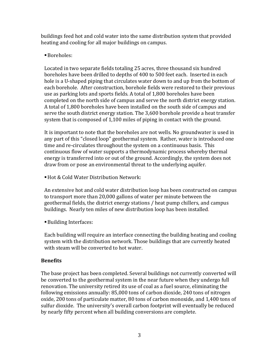buildings feed hot and cold water into the same distribution system that provided heating and cooling for all major buildings on campus.

# Boreholes:

Located in two separate fields totaling 25 acres, three thousand six hundred boreholes have been drilled to depths of 400 to 500 feet each. Inserted in each hole is a U-shaped piping that circulates water down to and up from the bottom of each borehole. After construction, borehole fields were restored to their previous use as parking lots and sports fields. A total of 1,800 boreholes have been completed on the north side of campus and serve the north district energy station. A total of 1,800 boreholes have been installed on the south side of campus and serve the south district energy station. The 3,600 borehole provide a heat transfer system that is composed of 1,100 miles of piping in contact with the ground.

It is important to note that the boreholes are not wells. No groundwater is used in any part of this "closed loop" geothermal system. Rather, water is introduced one time and re-circulates throughout the system on a continuous basis. This continuous flow of water supports a thermodynamic process whereby thermal energy is transferred into or out of the ground. Accordingly, the system does not draw from or pose an environmental threat to the underlying aquifer.

Hot & Cold Water Distribution Network:

An extensive hot and cold water distribution loop has been constructed on campus to transport more than 20,000 gallons of water per minute between the geothermal fields, the district energy stations / heat pump chillers, and campus buildings. Nearly ten miles of new distribution loop has been installed.

Building Interfaces:

Each building will require an interface connecting the building heating and cooling system with the distribution network. Those buildings that are currently heated with steam will be converted to hot water.

# **Benefits**

The base project has been completed. Several buildings not currently converted will be converted to the geothermal system in the near future when they undergo full renovation. The university retired its use of coal as a fuel source, eliminating the following emissions annually: 85,000 tons of carbon dioxide, 240 tons of nitrogen oxide, 200 tons of particulate matter, 80 tons of carbon monoxide, and 1,400 tons of sulfur dioxide. The university's overall carbon footprint will eventually be reduced by nearly fifty percent when all building conversions are complete.